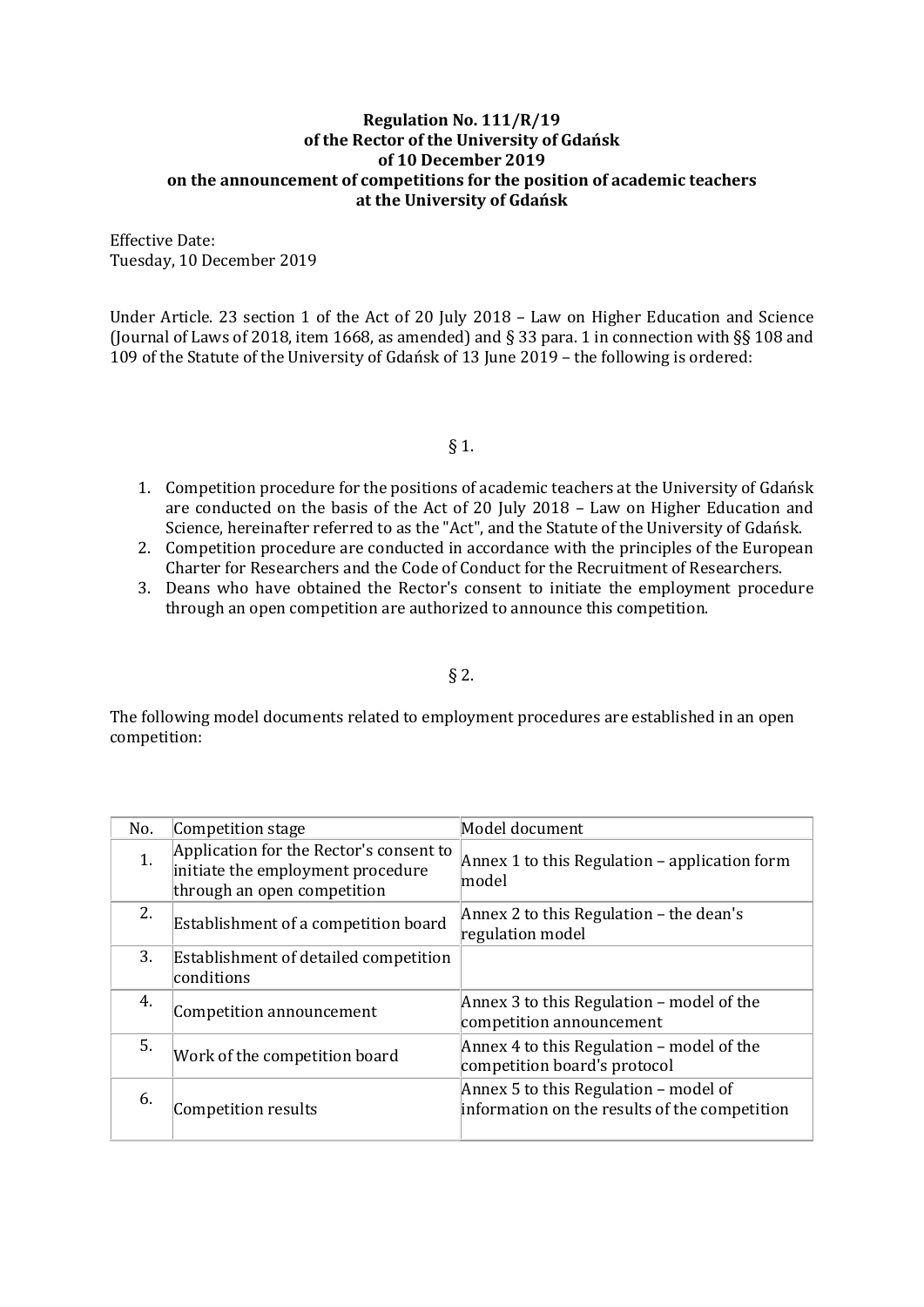## Regulation No. 111/R/19 of the Rector of the University of Gdańsk of 10 December 2019 on the announcement of competitions for the position of academic teachers at the University of Gdańsk

Effective Date: Tuesday, 10 December 2019

Under Article. 23 section 1 of the Act of 20 July 2018 – Law on Higher Education and Science (Journal of Laws of 2018, item 1668, as amended) and § 33 para. 1 in connection with §§ 108 and 109 of the Statute of the University of Gdańsk of 13 June 2019 – the following is ordered:

§ 1.

- 1. Competition procedure for the positions of academic teachers at the University of Gdańsk are conducted on the basis of the Act of 20 July 2018 – Law on Higher Education and Science, hereinafter referred to as the "Act", and the Statute of the University of Gdańsk.
- 2. Competition procedure are conducted in accordance with the principles of the European Charter for Researchers and the Code of Conduct for the Recruitment of Researchers.
- 3. Deans who have obtained the Rector's consent to initiate the employment procedure through an open competition are authorized to announce this competition.

## § 2.

The following model documents related to employment procedures are established in an open competition:

| No. | Competition stage                                                                                           | Model document                                                                           |
|-----|-------------------------------------------------------------------------------------------------------------|------------------------------------------------------------------------------------------|
| 1.  | Application for the Rector's consent to<br>initiate the employment procedure<br>through an open competition | Annex 1 to this Regulation $-$ application form<br> model                                |
| 2.  | Establishment of a competition board                                                                        | Annex 2 to this Regulation $-$ the dean's<br>regulation model                            |
| 3.  | Establishment of detailed competition<br>conditions                                                         |                                                                                          |
| 4.  | Competition announcement                                                                                    | Annex 3 to this Regulation - model of the<br>competition announcement                    |
| 5.  | Work of the competition board                                                                               | Annex 4 to this Regulation $-$ model of the<br>competition board's protocol              |
| 6.  | Competition results                                                                                         | Annex 5 to this Regulation $-$ model of<br>information on the results of the competition |